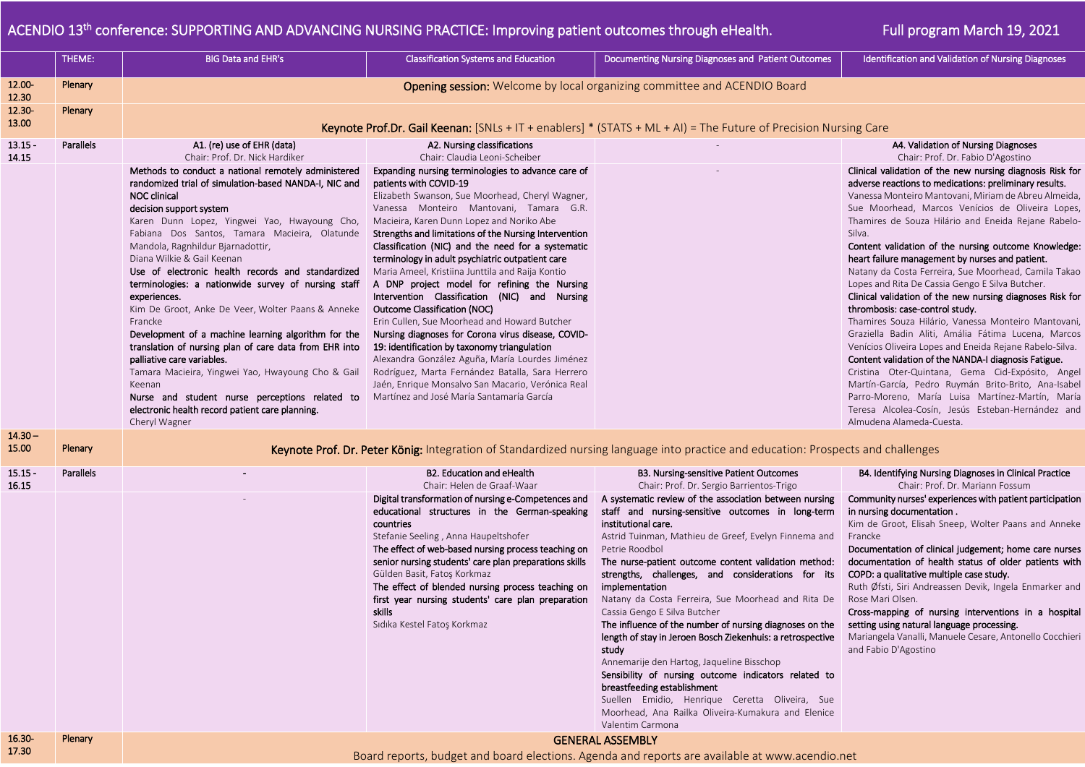## ACENDIO 13<sup>th</sup> conference: SUPPORTING AND ADVANCING NURSING PRACTICE: Improving patient outcomes through eHealth. **Full program March 19, 2021**

|                    | THEME:    | <b>BIG Data and EHR's</b>                                                                                                                                                                                                                                                                                                                                                                                                                                                                                                                                                                                                                                                                                                                                                                                                                                                                                                          | <b>Classification Systems and Education</b>                                                                                                                                                                                                                                                                                                                                                                                                                                                                                                                                                                                                                                                                                                                                                                                                                                                                                                                                                                    | Documenting Nursing Diagnoses and Patient Outcomes                                                                                                                                                                                                                                                                                                                                                                                                                                                                                                                                                                                                                                                                                                                                                                                                                                                                                                                                                                           | <b>Identification and Validation of Nursing Diagnoses</b>                                                                                                                                                                                                                                                                                                                                                                                                                                                                                                                                                                                                                                                                                                                                                                                                                                                                                                                                                                                                                                                                                                                           |  |  |  |
|--------------------|-----------|------------------------------------------------------------------------------------------------------------------------------------------------------------------------------------------------------------------------------------------------------------------------------------------------------------------------------------------------------------------------------------------------------------------------------------------------------------------------------------------------------------------------------------------------------------------------------------------------------------------------------------------------------------------------------------------------------------------------------------------------------------------------------------------------------------------------------------------------------------------------------------------------------------------------------------|----------------------------------------------------------------------------------------------------------------------------------------------------------------------------------------------------------------------------------------------------------------------------------------------------------------------------------------------------------------------------------------------------------------------------------------------------------------------------------------------------------------------------------------------------------------------------------------------------------------------------------------------------------------------------------------------------------------------------------------------------------------------------------------------------------------------------------------------------------------------------------------------------------------------------------------------------------------------------------------------------------------|------------------------------------------------------------------------------------------------------------------------------------------------------------------------------------------------------------------------------------------------------------------------------------------------------------------------------------------------------------------------------------------------------------------------------------------------------------------------------------------------------------------------------------------------------------------------------------------------------------------------------------------------------------------------------------------------------------------------------------------------------------------------------------------------------------------------------------------------------------------------------------------------------------------------------------------------------------------------------------------------------------------------------|-------------------------------------------------------------------------------------------------------------------------------------------------------------------------------------------------------------------------------------------------------------------------------------------------------------------------------------------------------------------------------------------------------------------------------------------------------------------------------------------------------------------------------------------------------------------------------------------------------------------------------------------------------------------------------------------------------------------------------------------------------------------------------------------------------------------------------------------------------------------------------------------------------------------------------------------------------------------------------------------------------------------------------------------------------------------------------------------------------------------------------------------------------------------------------------|--|--|--|
| 12.00-<br>12.30    | Plenary   | <b>Opening session:</b> Welcome by local organizing committee and ACENDIO Board                                                                                                                                                                                                                                                                                                                                                                                                                                                                                                                                                                                                                                                                                                                                                                                                                                                    |                                                                                                                                                                                                                                                                                                                                                                                                                                                                                                                                                                                                                                                                                                                                                                                                                                                                                                                                                                                                                |                                                                                                                                                                                                                                                                                                                                                                                                                                                                                                                                                                                                                                                                                                                                                                                                                                                                                                                                                                                                                              |                                                                                                                                                                                                                                                                                                                                                                                                                                                                                                                                                                                                                                                                                                                                                                                                                                                                                                                                                                                                                                                                                                                                                                                     |  |  |  |
| 12.30<br>13.00     | Plenary   | Keynote Prof.Dr. Gail Keenan: [SNLs + IT + enablers] * (STATS + ML + AI) = The Future of Precision Nursing Care                                                                                                                                                                                                                                                                                                                                                                                                                                                                                                                                                                                                                                                                                                                                                                                                                    |                                                                                                                                                                                                                                                                                                                                                                                                                                                                                                                                                                                                                                                                                                                                                                                                                                                                                                                                                                                                                |                                                                                                                                                                                                                                                                                                                                                                                                                                                                                                                                                                                                                                                                                                                                                                                                                                                                                                                                                                                                                              |                                                                                                                                                                                                                                                                                                                                                                                                                                                                                                                                                                                                                                                                                                                                                                                                                                                                                                                                                                                                                                                                                                                                                                                     |  |  |  |
| $13.15 -$<br>14.15 | Parallels | A1. (re) use of EHR (data)<br>Chair: Prof. Dr. Nick Hardiker<br>Methods to conduct a national remotely administered<br>randomized trial of simulation-based NANDA-I, NIC and<br><b>NOC clinical</b><br>decision support system<br>Karen Dunn Lopez, Yingwei Yao, Hwayoung Cho,<br>Fabiana Dos Santos, Tamara Macieira, Olatunde<br>Mandola, Ragnhildur Bjarnadottir,<br>Diana Wilkie & Gail Keenan<br>Use of electronic health records and standardized<br>terminologies: a nationwide survey of nursing staff<br>experiences.<br>Kim De Groot, Anke De Veer, Wolter Paans & Anneke<br>Francke<br>Development of a machine learning algorithm for the<br>translation of nursing plan of care data from EHR into<br>palliative care variables.<br>Tamara Macieira, Yingwei Yao, Hwayoung Cho & Gail<br>Keenan<br>Nurse and student nurse perceptions related to<br>electronic health record patient care planning.<br>Cheryl Wagner | A2. Nursing classifications<br>Chair: Claudia Leoni-Scheiber<br>Expanding nursing terminologies to advance care of<br>patients with COVID-19<br>Elizabeth Swanson, Sue Moorhead, Cheryl Wagner,<br>Vanessa Monteiro Mantovani, Tamara G.R.<br>Macieira, Karen Dunn Lopez and Noriko Abe<br>Strengths and limitations of the Nursing Intervention<br>Classification (NIC) and the need for a systematic<br>terminology in adult psychiatric outpatient care<br>Maria Ameel, Kristiina Junttila and Raija Kontio<br>A DNP project model for refining the Nursing<br>Intervention Classification (NIC) and Nursing<br>Outcome Classification (NOC)<br>Erin Cullen, Sue Moorhead and Howard Butcher<br>Nursing diagnoses for Corona virus disease, COVID-<br>19: identification by taxonomy triangulation<br>Alexandra González Aguña, María Lourdes Jiménez<br>Rodríguez, Marta Fernández Batalla, Sara Herrero<br>Jaén, Enrique Monsalvo San Macario, Verónica Real<br>Martínez and José María Santamaría García |                                                                                                                                                                                                                                                                                                                                                                                                                                                                                                                                                                                                                                                                                                                                                                                                                                                                                                                                                                                                                              | A4. Validation of Nursing Diagnoses<br>Chair: Prof. Dr. Fabio D'Agostino<br>Clinical validation of the new nursing diagnosis Risk for<br>adverse reactions to medications: preliminary results.<br>Vanessa Monteiro Mantovani, Miriam de Abreu Almeida,<br>Sue Moorhead, Marcos Venícios de Oliveira Lopes,<br>Thamires de Souza Hilário and Eneida Rejane Rabelo-<br>Silva.<br>Content validation of the nursing outcome Knowledge:<br>heart failure management by nurses and patient.<br>Natany da Costa Ferreira, Sue Moorhead, Camila Takao<br>Lopes and Rita De Cassia Gengo E Silva Butcher.<br>Clinical validation of the new nursing diagnoses Risk for<br>thrombosis: case-control study.<br>Thamires Souza Hilário, Vanessa Monteiro Mantovani,<br>Graziella Badin Aliti, Amália Fátima Lucena, Marcos<br>Venícios Oliveira Lopes and Eneida Rejane Rabelo-Silva.<br>Content validation of the NANDA-I diagnosis Fatigue.<br>Cristina Oter-Quintana, Gema Cid-Expósito, Angel<br>Martín-García, Pedro Ruymán Brito-Brito, Ana-Isabel<br>Parro-Moreno, María Luisa Martínez-Martín, María<br>Teresa Alcolea-Cosín, Jesús Esteban-Hernández and<br>Almudena Alameda-Cuesta. |  |  |  |
| $14.30 -$<br>15.00 | Plenary   | Keynote Prof. Dr. Peter König: Integration of Standardized nursing language into practice and education: Prospects and challenges                                                                                                                                                                                                                                                                                                                                                                                                                                                                                                                                                                                                                                                                                                                                                                                                  |                                                                                                                                                                                                                                                                                                                                                                                                                                                                                                                                                                                                                                                                                                                                                                                                                                                                                                                                                                                                                |                                                                                                                                                                                                                                                                                                                                                                                                                                                                                                                                                                                                                                                                                                                                                                                                                                                                                                                                                                                                                              |                                                                                                                                                                                                                                                                                                                                                                                                                                                                                                                                                                                                                                                                                                                                                                                                                                                                                                                                                                                                                                                                                                                                                                                     |  |  |  |
| $15.15 -$<br>16.15 | Parallels |                                                                                                                                                                                                                                                                                                                                                                                                                                                                                                                                                                                                                                                                                                                                                                                                                                                                                                                                    | <b>B2. Education and eHealth</b><br>Chair: Helen de Graaf-Waar<br>Digital transformation of nursing e-Competences and<br>educational structures in the German-speaking<br>countries<br>Stefanie Seeling, Anna Haupeltshofer<br>The effect of web-based nursing process teaching on<br>senior nursing students' care plan preparations skills<br>Gülden Basit, Fatoş Korkmaz<br>The effect of blended nursing process teaching on<br>first year nursing students' care plan preparation<br>skills<br>Sıdıka Kestel Fatoş Korkmaz                                                                                                                                                                                                                                                                                                                                                                                                                                                                                | B3. Nursing-sensitive Patient Outcomes<br>Chair: Prof. Dr. Sergio Barrientos-Trigo<br>A systematic review of the association between nursing<br>staff and nursing-sensitive outcomes in long-term<br>institutional care.<br>Astrid Tuinman, Mathieu de Greef, Evelyn Finnema and<br>Petrie Roodbol<br>The nurse-patient outcome content validation method:<br>strengths, challenges, and considerations for its<br>implementation<br>Natany da Costa Ferreira, Sue Moorhead and Rita De<br>Cassia Gengo E Silva Butcher<br>The influence of the number of nursing diagnoses on the setting using natural language processing.<br>length of stay in Jeroen Bosch Ziekenhuis: a retrospective Mariangela Vanalli, Manuele Cesare, Antonello Cocchieri<br>study<br>Annemarije den Hartog, Jaqueline Bisschop<br>Sensibility of nursing outcome indicators related to<br>breastfeeding establishment<br>Suellen Emidio, Henrique Ceretta Oliveira, Sue<br>Moorhead, Ana Railka Oliveira-Kumakura and Elenice<br>Valentim Carmona | B4. Identifying Nursing Diagnoses in Clinical Practice<br>Chair: Prof. Dr. Mariann Fossum<br>Community nurses' experiences with patient participation<br>in nursing documentation.<br>Kim de Groot, Elisah Sneep, Wolter Paans and Anneke<br>Francke<br>Documentation of clinical judgement; home care nurses<br>documentation of health status of older patients with<br>COPD: a qualitative multiple case study.<br>Ruth Øfsti, Siri Andreassen Devik, Ingela Enmarker and<br>Rose Mari Olsen.<br>Cross-mapping of nursing interventions in a hospital<br>and Fabio D'Agostino                                                                                                                                                                                                                                                                                                                                                                                                                                                                                                                                                                                                    |  |  |  |
| $16.30 -$<br>17.30 | Plenary   | <b>GENERAL ASSEMBLY</b><br>Board reports, budget and board elections. Agenda and reports are available at www.acendio.pet                                                                                                                                                                                                                                                                                                                                                                                                                                                                                                                                                                                                                                                                                                                                                                                                          |                                                                                                                                                                                                                                                                                                                                                                                                                                                                                                                                                                                                                                                                                                                                                                                                                                                                                                                                                                                                                |                                                                                                                                                                                                                                                                                                                                                                                                                                                                                                                                                                                                                                                                                                                                                                                                                                                                                                                                                                                                                              |                                                                                                                                                                                                                                                                                                                                                                                                                                                                                                                                                                                                                                                                                                                                                                                                                                                                                                                                                                                                                                                                                                                                                                                     |  |  |  |

Board reports, budget and board elections. Agenda and reports are available at www.acendio.net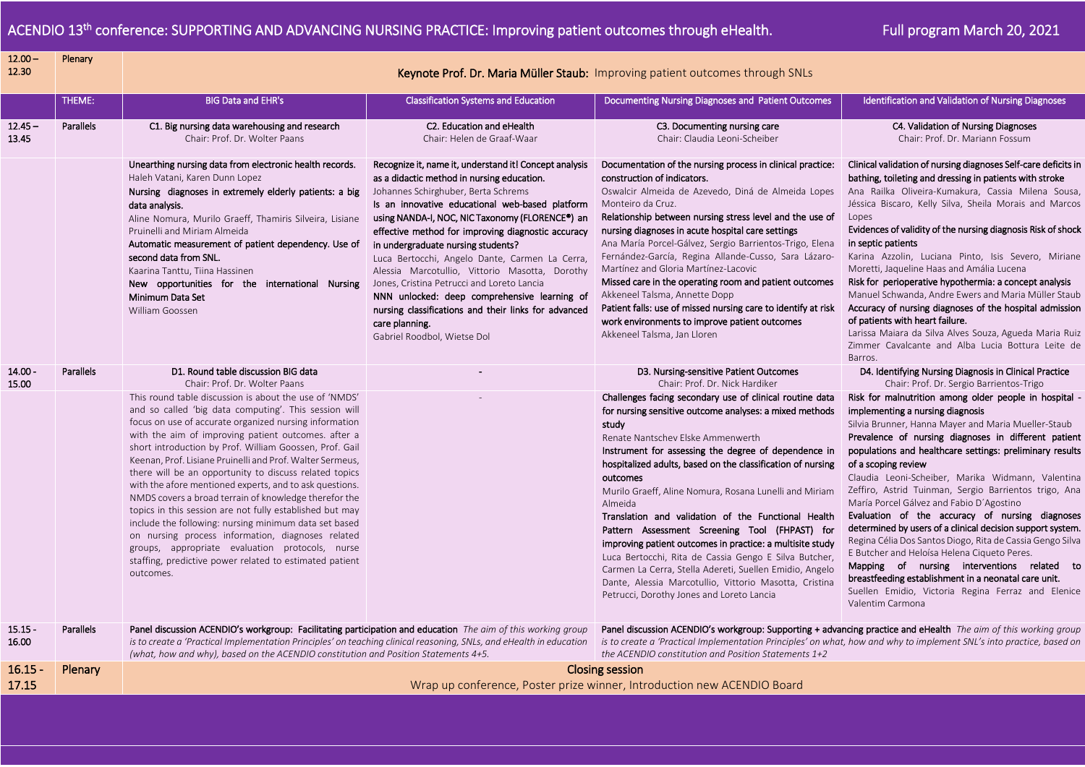l

| $12.00 -$<br>12.30 | Plenary          | Keynote Prof. Dr. Maria Müller Staub: Improving patient outcomes through SNLs                                                                                                                                                                                                                                                                                                                                                                                                                                                                                                                                                                                                                                                                                                                                                               |                                                                                                                                                                                                                                                                                                                                                                                                                                                                                                                                                                                                                                                          |                                                                                                                                                                                                                                                                                                                                                                                                                                                                                                                                                                                                                                                                                                                                                                            |                                                                                                                                                                                                                                                                                                                                                                                                                                                                                                                                                                                                                                                                                                                                                                                                                                                                    |  |  |
|--------------------|------------------|---------------------------------------------------------------------------------------------------------------------------------------------------------------------------------------------------------------------------------------------------------------------------------------------------------------------------------------------------------------------------------------------------------------------------------------------------------------------------------------------------------------------------------------------------------------------------------------------------------------------------------------------------------------------------------------------------------------------------------------------------------------------------------------------------------------------------------------------|----------------------------------------------------------------------------------------------------------------------------------------------------------------------------------------------------------------------------------------------------------------------------------------------------------------------------------------------------------------------------------------------------------------------------------------------------------------------------------------------------------------------------------------------------------------------------------------------------------------------------------------------------------|----------------------------------------------------------------------------------------------------------------------------------------------------------------------------------------------------------------------------------------------------------------------------------------------------------------------------------------------------------------------------------------------------------------------------------------------------------------------------------------------------------------------------------------------------------------------------------------------------------------------------------------------------------------------------------------------------------------------------------------------------------------------------|--------------------------------------------------------------------------------------------------------------------------------------------------------------------------------------------------------------------------------------------------------------------------------------------------------------------------------------------------------------------------------------------------------------------------------------------------------------------------------------------------------------------------------------------------------------------------------------------------------------------------------------------------------------------------------------------------------------------------------------------------------------------------------------------------------------------------------------------------------------------|--|--|
|                    | THEME:           | <b>BIG Data and EHR's</b>                                                                                                                                                                                                                                                                                                                                                                                                                                                                                                                                                                                                                                                                                                                                                                                                                   | <b>Classification Systems and Education</b>                                                                                                                                                                                                                                                                                                                                                                                                                                                                                                                                                                                                              | Documenting Nursing Diagnoses and Patient Outcomes                                                                                                                                                                                                                                                                                                                                                                                                                                                                                                                                                                                                                                                                                                                         | Identification and Validation of Nursing Diagnoses                                                                                                                                                                                                                                                                                                                                                                                                                                                                                                                                                                                                                                                                                                                                                                                                                 |  |  |
| $12.45 -$<br>13.45 | Parallels        | C1. Big nursing data warehousing and research<br>Chair: Prof. Dr. Wolter Paans                                                                                                                                                                                                                                                                                                                                                                                                                                                                                                                                                                                                                                                                                                                                                              | C2. Education and eHealth<br>Chair: Helen de Graaf-Waar                                                                                                                                                                                                                                                                                                                                                                                                                                                                                                                                                                                                  | C3. Documenting nursing care<br>Chair: Claudia Leoni-Scheiber                                                                                                                                                                                                                                                                                                                                                                                                                                                                                                                                                                                                                                                                                                              | C4. Validation of Nursing Diagnoses<br>Chair: Prof. Dr. Mariann Fossum                                                                                                                                                                                                                                                                                                                                                                                                                                                                                                                                                                                                                                                                                                                                                                                             |  |  |
|                    |                  | Unearthing nursing data from electronic health records.<br>Haleh Vatani, Karen Dunn Lopez<br>Nursing diagnoses in extremely elderly patients: a big<br>data analysis.<br>Aline Nomura, Murilo Graeff, Thamiris Silveira, Lisiane<br>Pruinelli and Miriam Almeida<br>Automatic measurement of patient dependency. Use of<br>second data from SNL.<br>Kaarina Tanttu, Tiina Hassinen<br>New opportunities for the international Nursing<br>Minimum Data Set<br>William Goossen                                                                                                                                                                                                                                                                                                                                                                | Recognize it, name it, understand it! Concept analysis<br>as a didactic method in nursing education.<br>Johannes Schirghuber, Berta Schrems<br>Is an innovative educational web-based platform<br>using NANDA-I, NOC, NIC Taxonomy (FLORENCE®) an<br>effective method for improving diagnostic accuracy<br>in undergraduate nursing students?<br>Luca Bertocchi, Angelo Dante, Carmen La Cerra,<br>Alessia Marcotullio, Vittorio Masotta, Dorothy<br>Jones, Cristina Petrucci and Loreto Lancia<br>NNN unlocked: deep comprehensive learning of<br>nursing classifications and their links for advanced<br>care planning.<br>Gabriel Roodbol, Wietse Dol | Documentation of the nursing process in clinical practice:<br>construction of indicators.<br>Oswalcir Almeida de Azevedo, Diná de Almeida Lopes<br>Monteiro da Cruz.<br>Relationship between nursing stress level and the use of<br>nursing diagnoses in acute hospital care settings<br>Ana María Porcel-Gálvez, Sergio Barrientos-Trigo, Elena<br>Fernández-García, Regina Allande-Cusso, Sara Lázaro-<br>Martínez and Gloria Martínez-Lacovic<br>Missed care in the operating room and patient outcomes<br>Akkeneel Talsma, Annette Dopp<br>Patient falls: use of missed nursing care to identify at risk<br>work environments to improve patient outcomes<br>Akkeneel Talsma, Jan Lloren                                                                               | Clinical validation of nursing diagnoses Self-care deficits in<br>bathing, toileting and dressing in patients with stroke<br>Ana Railka Oliveira-Kumakura, Cassia Milena Sousa,<br>Jéssica Biscaro, Kelly Silva, Sheila Morais and Marcos<br>Lopes<br>Evidences of validity of the nursing diagnosis Risk of shock<br>in septic patients<br>Karina Azzolin, Luciana Pinto, Isis Severo, Miriane<br>Moretti, Jaqueline Haas and Amália Lucena<br>Risk for perioperative hypothermia: a concept analysis<br>Manuel Schwanda, Andre Ewers and Maria Müller Staub<br>Accuracy of nursing diagnoses of the hospital admission<br>of patients with heart failure.<br>Larissa Maiara da Silva Alves Souza, Agueda Maria Ruiz<br>Zimmer Cavalcante and Alba Lucia Bottura Leite de<br>Barros.                                                                              |  |  |
| $14.00 -$<br>15.00 | <b>Parallels</b> | D1. Round table discussion BIG data<br>Chair: Prof. Dr. Wolter Paans                                                                                                                                                                                                                                                                                                                                                                                                                                                                                                                                                                                                                                                                                                                                                                        |                                                                                                                                                                                                                                                                                                                                                                                                                                                                                                                                                                                                                                                          | D3. Nursing-sensitive Patient Outcomes<br>Chair: Prof. Dr. Nick Hardiker                                                                                                                                                                                                                                                                                                                                                                                                                                                                                                                                                                                                                                                                                                   | D4. Identifying Nursing Diagnosis in Clinical Practice<br>Chair: Prof. Dr. Sergio Barrientos-Trigo                                                                                                                                                                                                                                                                                                                                                                                                                                                                                                                                                                                                                                                                                                                                                                 |  |  |
|                    |                  | This round table discussion is about the use of 'NMDS'<br>and so called 'big data computing'. This session will<br>focus on use of accurate organized nursing information<br>with the aim of improving patient outcomes. after a<br>short introduction by Prof. William Goossen, Prof. Gail<br>Keenan, Prof. Lisiane Pruinelli and Prof. Walter Sermeus,<br>there will be an opportunity to discuss related topics<br>with the afore mentioned experts, and to ask questions.<br>NMDS covers a broad terrain of knowledge therefor the<br>topics in this session are not fully established but may<br>include the following: nursing minimum data set based<br>on nursing process information, diagnoses related<br>groups, appropriate evaluation protocols, nurse<br>staffing, predictive power related to estimated patient<br>outcomes. |                                                                                                                                                                                                                                                                                                                                                                                                                                                                                                                                                                                                                                                          | Challenges facing secondary use of clinical routine data<br>for nursing sensitive outcome analyses: a mixed methods<br>study<br>Renate Nantschev Elske Ammenwerth<br>Instrument for assessing the degree of dependence in<br>hospitalized adults, based on the classification of nursing<br>outcomes<br>Murilo Graeff, Aline Nomura, Rosana Lunelli and Miriam<br>Almeida<br>Translation and validation of the Functional Health<br>Pattern Assessment Screening Tool (FHPAST) for<br>improving patient outcomes in practice: a multisite study<br>Luca Bertocchi, Rita de Cassia Gengo E Silva Butcher,<br>Carmen La Cerra, Stella Adereti, Suellen Emidio, Angelo<br>Dante, Alessia Marcotullio, Vittorio Masotta, Cristina<br>Petrucci, Dorothy Jones and Loreto Lancia | Risk for malnutrition among older people in hospital<br>implementing a nursing diagnosis<br>Silvia Brunner, Hanna Mayer and Maria Mueller-Staub<br>Prevalence of nursing diagnoses in different patient<br>populations and healthcare settings: preliminary results<br>of a scoping review<br>Claudia Leoni-Scheiber, Marika Widmann, Valentina<br>Zeffiro, Astrid Tuinman, Sergio Barrientos trigo, Ana<br>María Porcel Gálvez and Fabio D'Agostino<br>Evaluation of the accuracy of nursing diagnoses<br>determined by users of a clinical decision support system.<br>Regina Célia Dos Santos Diogo, Rita de Cassia Gengo Silva<br>E Butcher and Heloísa Helena Ciqueto Peres.<br>Mapping of nursing interventions related to<br>breastfeeding establishment in a neonatal care unit.<br>Suellen Emidio, Victoria Regina Ferraz and Elenice<br>Valentim Carmona |  |  |
| $15.15 -$<br>16.00 | Parallels        | Panel discussion ACENDIO's workgroup: Facilitating participation and education The aim of this working group<br>is to create a 'Practical Implementation Principles' on teaching clinical reasoning, SNLs, and eHealth in education<br>(what, how and why), based on the ACENDIO constitution and Position Statements 4+5.                                                                                                                                                                                                                                                                                                                                                                                                                                                                                                                  |                                                                                                                                                                                                                                                                                                                                                                                                                                                                                                                                                                                                                                                          | Panel discussion ACENDIO's workgroup: Supporting + advancing practice and eHealth The aim of this working group<br>is to create a 'Practical Implementation Principles' on what, how and why to implement SNL's into practice, based on<br>the ACENDIO constitution and Position Statements 1+2                                                                                                                                                                                                                                                                                                                                                                                                                                                                            |                                                                                                                                                                                                                                                                                                                                                                                                                                                                                                                                                                                                                                                                                                                                                                                                                                                                    |  |  |
| $16.15 -$<br>17.15 | Plenary          | <b>Closing session</b><br>Wrap up conference, Poster prize winner, Introduction new ACENDIO Board                                                                                                                                                                                                                                                                                                                                                                                                                                                                                                                                                                                                                                                                                                                                           |                                                                                                                                                                                                                                                                                                                                                                                                                                                                                                                                                                                                                                                          |                                                                                                                                                                                                                                                                                                                                                                                                                                                                                                                                                                                                                                                                                                                                                                            |                                                                                                                                                                                                                                                                                                                                                                                                                                                                                                                                                                                                                                                                                                                                                                                                                                                                    |  |  |
|                    |                  |                                                                                                                                                                                                                                                                                                                                                                                                                                                                                                                                                                                                                                                                                                                                                                                                                                             |                                                                                                                                                                                                                                                                                                                                                                                                                                                                                                                                                                                                                                                          |                                                                                                                                                                                                                                                                                                                                                                                                                                                                                                                                                                                                                                                                                                                                                                            |                                                                                                                                                                                                                                                                                                                                                                                                                                                                                                                                                                                                                                                                                                                                                                                                                                                                    |  |  |